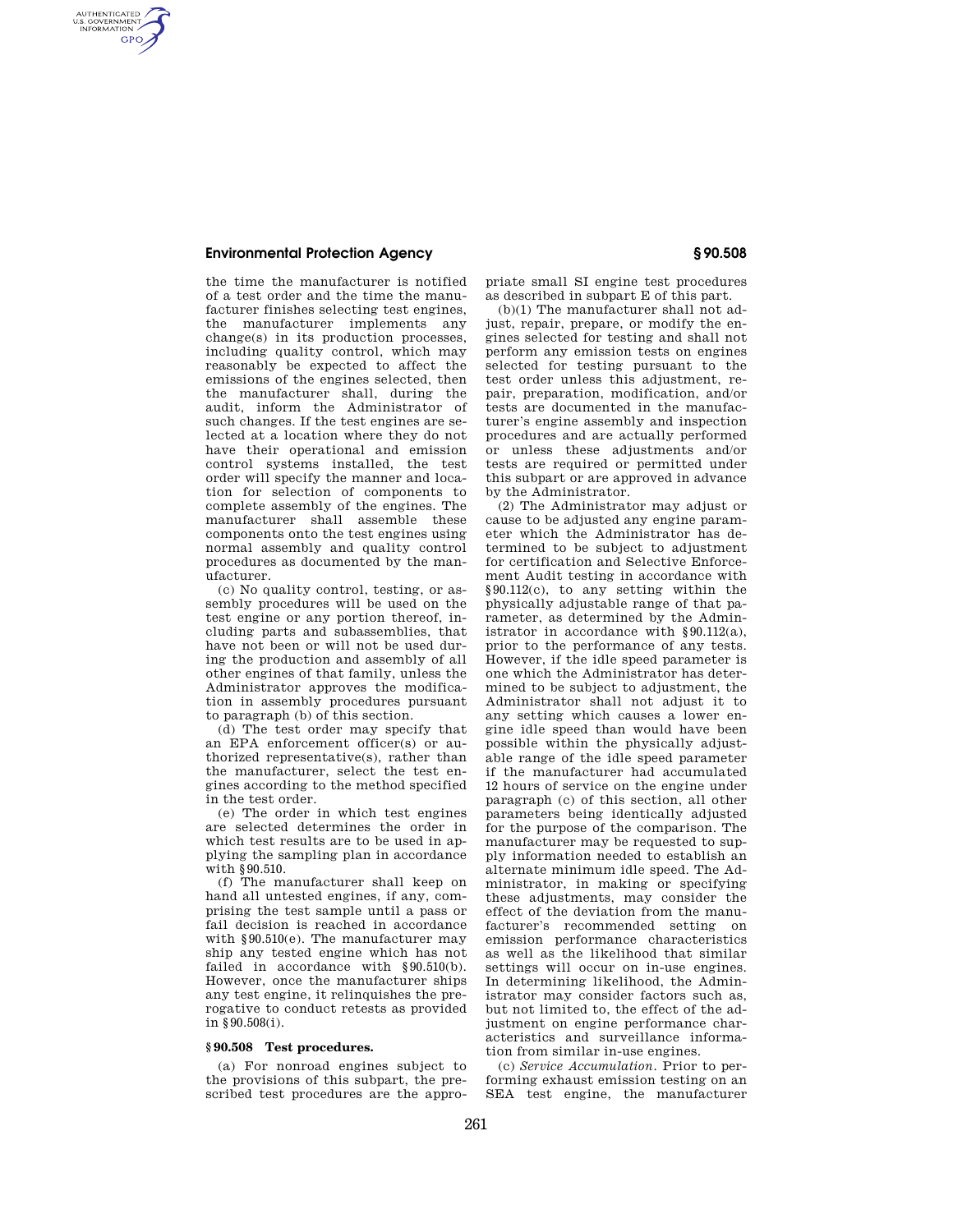## **Environmental Protection Agency § 90.508**

AUTHENTICATED<br>U.S. GOVERNMENT<br>INFORMATION **GPO** 

> the time the manufacturer is notified of a test order and the time the manufacturer finishes selecting test engines, the manufacturer implements any change(s) in its production processes, including quality control, which may reasonably be expected to affect the emissions of the engines selected, then the manufacturer shall, during the audit, inform the Administrator of such changes. If the test engines are selected at a location where they do not have their operational and emission control systems installed, the test order will specify the manner and location for selection of components to complete assembly of the engines. The manufacturer shall assemble these components onto the test engines using normal assembly and quality control procedures as documented by the manufacturer.

> (c) No quality control, testing, or assembly procedures will be used on the test engine or any portion thereof, including parts and subassemblies, that have not been or will not be used during the production and assembly of all other engines of that family, unless the Administrator approves the modification in assembly procedures pursuant to paragraph (b) of this section.

> (d) The test order may specify that an EPA enforcement officer(s) or authorized representative(s), rather than the manufacturer, select the test engines according to the method specified in the test order.

> (e) The order in which test engines are selected determines the order in which test results are to be used in applying the sampling plan in accordance with §90.510.

> (f) The manufacturer shall keep on hand all untested engines, if any, comprising the test sample until a pass or fail decision is reached in accordance with §90.510(e). The manufacturer may ship any tested engine which has not failed in accordance with  $§90.510(b)$ . However, once the manufacturer ships any test engine, it relinquishes the prerogative to conduct retests as provided in §90.508(i).

## **§ 90.508 Test procedures.**

(a) For nonroad engines subject to the provisions of this subpart, the prescribed test procedures are the appropriate small SI engine test procedures as described in subpart E of this part.

(b)(1) The manufacturer shall not adjust, repair, prepare, or modify the engines selected for testing and shall not perform any emission tests on engines selected for testing pursuant to the test order unless this adjustment, repair, preparation, modification, and/or tests are documented in the manufacturer's engine assembly and inspection procedures and are actually performed or unless these adjustments and/or tests are required or permitted under this subpart or are approved in advance by the Administrator.

(2) The Administrator may adjust or cause to be adjusted any engine parameter which the Administrator has determined to be subject to adjustment for certification and Selective Enforcement Audit testing in accordance with §90.112(c), to any setting within the physically adjustable range of that parameter, as determined by the Administrator in accordance with  $§ 90.112(a)$ , prior to the performance of any tests. However, if the idle speed parameter is one which the Administrator has determined to be subject to adjustment, the Administrator shall not adjust it to any setting which causes a lower engine idle speed than would have been possible within the physically adjustable range of the idle speed parameter if the manufacturer had accumulated 12 hours of service on the engine under paragraph (c) of this section, all other parameters being identically adjusted for the purpose of the comparison. The manufacturer may be requested to supply information needed to establish an alternate minimum idle speed. The Administrator, in making or specifying these adjustments, may consider the effect of the deviation from the manufacturer's recommended setting on emission performance characteristics as well as the likelihood that similar settings will occur on in-use engines. In determining likelihood, the Administrator may consider factors such as, but not limited to, the effect of the adjustment on engine performance characteristics and surveillance information from similar in-use engines.

(c) *Service Accumulation.* Prior to performing exhaust emission testing on an SEA test engine, the manufacturer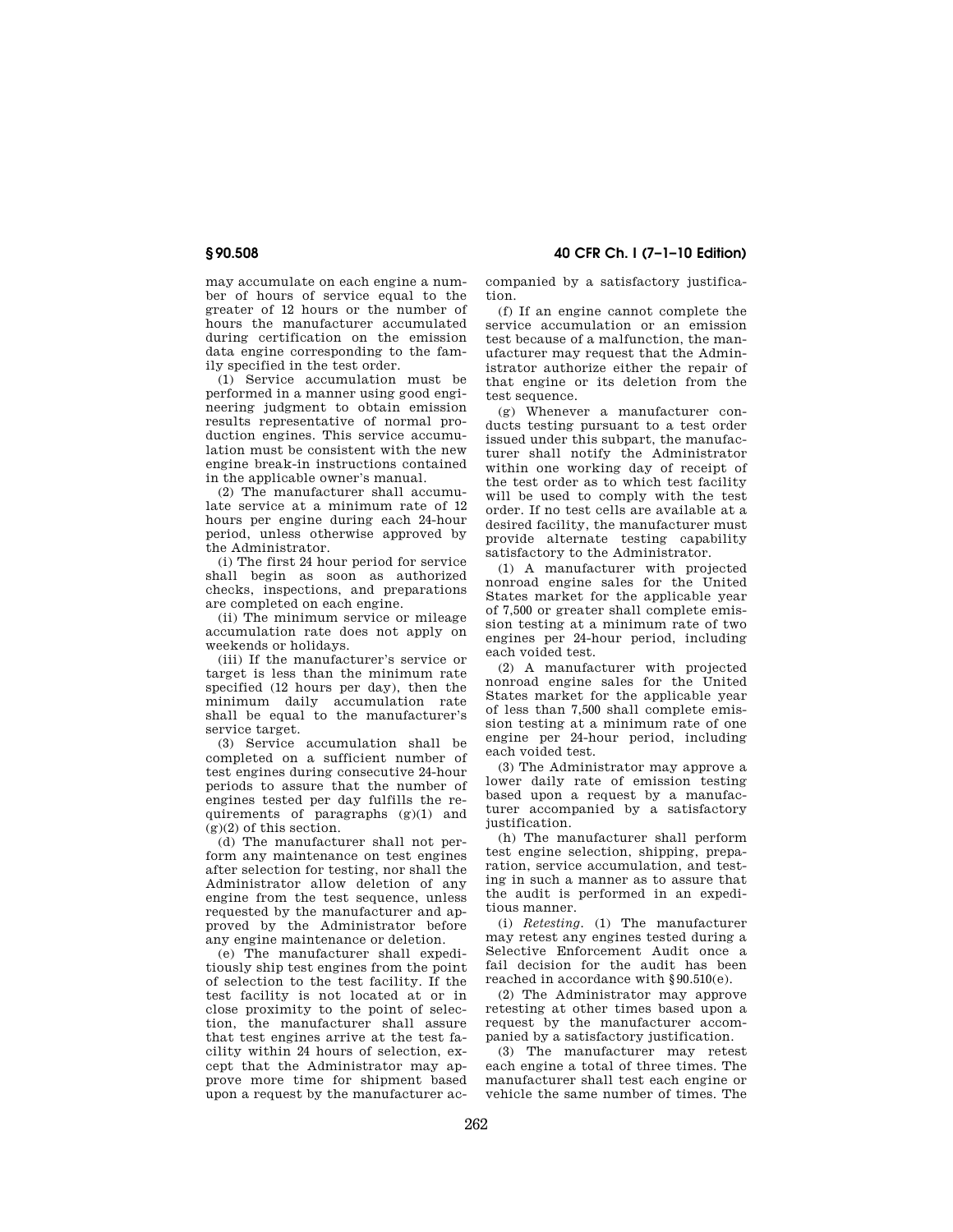may accumulate on each engine a number of hours of service equal to the greater of 12 hours or the number of hours the manufacturer accumulated during certification on the emission data engine corresponding to the family specified in the test order.

(1) Service accumulation must be performed in a manner using good engineering judgment to obtain emission results representative of normal production engines. This service accumulation must be consistent with the new engine break-in instructions contained in the applicable owner's manual.

(2) The manufacturer shall accumulate service at a minimum rate of 12 hours per engine during each 24-hour period, unless otherwise approved by the Administrator.

(i) The first 24 hour period for service shall begin as soon as authorized checks, inspections, and preparations are completed on each engine.

(ii) The minimum service or mileage accumulation rate does not apply on weekends or holidays.

(iii) If the manufacturer's service or target is less than the minimum rate specified (12 hours per day), then the minimum daily accumulation rate shall be equal to the manufacturer's service target.

(3) Service accumulation shall be completed on a sufficient number of test engines during consecutive 24-hour periods to assure that the number of engines tested per day fulfills the requirements of paragraphs (g)(1) and  $g(x)$  of this section.

(d) The manufacturer shall not perform any maintenance on test engines after selection for testing, nor shall the Administrator allow deletion of any engine from the test sequence, unless requested by the manufacturer and approved by the Administrator before any engine maintenance or deletion.

(e) The manufacturer shall expeditiously ship test engines from the point of selection to the test facility. If the test facility is not located at or in close proximity to the point of selection, the manufacturer shall assure that test engines arrive at the test facility within 24 hours of selection, except that the Administrator may approve more time for shipment based upon a request by the manufacturer ac-

**§ 90.508 40 CFR Ch. I (7–1–10 Edition)** 

companied by a satisfactory justification.

(f) If an engine cannot complete the service accumulation or an emission test because of a malfunction, the manufacturer may request that the Administrator authorize either the repair of that engine or its deletion from the test sequence.

(g) Whenever a manufacturer conducts testing pursuant to a test order issued under this subpart, the manufacturer shall notify the Administrator within one working day of receipt of the test order as to which test facility will be used to comply with the test order. If no test cells are available at a desired facility, the manufacturer must provide alternate testing capability satisfactory to the Administrator.

(1) A manufacturer with projected nonroad engine sales for the United States market for the applicable year of 7,500 or greater shall complete emission testing at a minimum rate of two engines per 24-hour period, including each voided test.

(2) A manufacturer with projected nonroad engine sales for the United States market for the applicable year of less than 7,500 shall complete emission testing at a minimum rate of one engine per 24-hour period, including each voided test.

(3) The Administrator may approve a lower daily rate of emission testing based upon a request by a manufacturer accompanied by a satisfactory justification.

(h) The manufacturer shall perform test engine selection, shipping, preparation, service accumulation, and testing in such a manner as to assure that the audit is performed in an expeditious manner.

(i) *Retesting.* (1) The manufacturer may retest any engines tested during a Selective Enforcement Audit once a fail decision for the audit has been reached in accordance with §90.510(e).

(2) The Administrator may approve retesting at other times based upon a request by the manufacturer accompanied by a satisfactory justification.

(3) The manufacturer may retest each engine a total of three times. The manufacturer shall test each engine or vehicle the same number of times. The